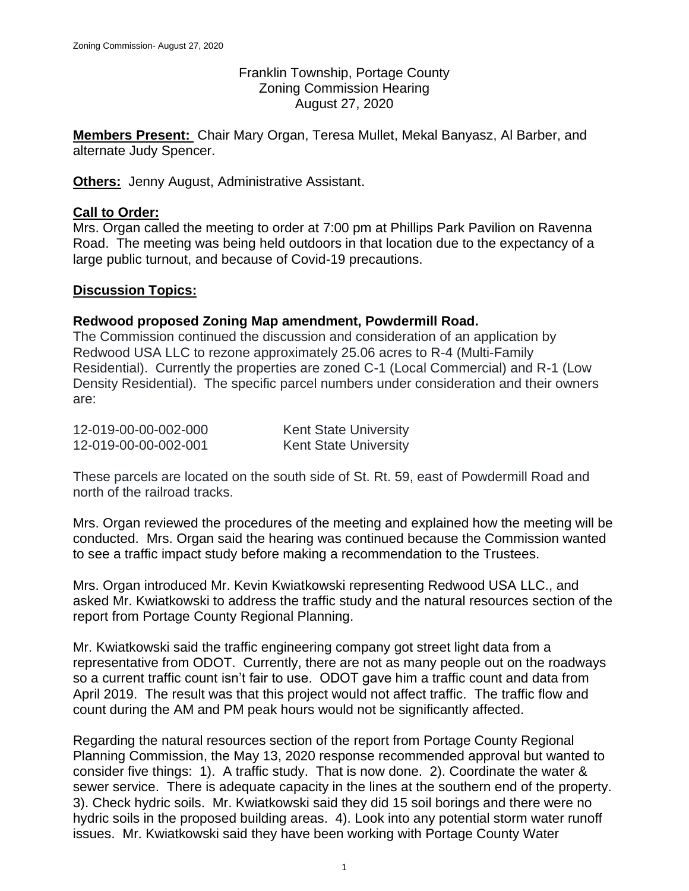Franklin Township, Portage County Zoning Commission Hearing August 27, 2020

**Members Present:** Chair Mary Organ, Teresa Mullet, Mekal Banyasz, Al Barber, and alternate Judy Spencer.

**Others:** Jenny August, Administrative Assistant.

# **Call to Order:**

Mrs. Organ called the meeting to order at 7:00 pm at Phillips Park Pavilion on Ravenna Road. The meeting was being held outdoors in that location due to the expectancy of a large public turnout, and because of Covid-19 precautions.

## **Discussion Topics:**

### **Redwood proposed Zoning Map amendment, Powdermill Road.**

The Commission continued the discussion and consideration of an application by Redwood USA LLC to rezone approximately 25.06 acres to R-4 (Multi-Family Residential). Currently the properties are zoned C-1 (Local Commercial) and R-1 (Low Density Residential). The specific parcel numbers under consideration and their owners are:

| 12-019-00-00-002-000 | <b>Kent State University</b> |
|----------------------|------------------------------|
| 12-019-00-00-002-001 | <b>Kent State University</b> |

These parcels are located on the south side of St. Rt. 59, east of Powdermill Road and north of the railroad tracks.

Mrs. Organ reviewed the procedures of the meeting and explained how the meeting will be conducted. Mrs. Organ said the hearing was continued because the Commission wanted to see a traffic impact study before making a recommendation to the Trustees.

Mrs. Organ introduced Mr. Kevin Kwiatkowski representing Redwood USA LLC., and asked Mr. Kwiatkowski to address the traffic study and the natural resources section of the report from Portage County Regional Planning.

Mr. Kwiatkowski said the traffic engineering company got street light data from a representative from ODOT. Currently, there are not as many people out on the roadways so a current traffic count isn't fair to use. ODOT gave him a traffic count and data from April 2019. The result was that this project would not affect traffic. The traffic flow and count during the AM and PM peak hours would not be significantly affected.

Regarding the natural resources section of the report from Portage County Regional Planning Commission, the May 13, 2020 response recommended approval but wanted to consider five things: 1). A traffic study. That is now done. 2). Coordinate the water & sewer service. There is adequate capacity in the lines at the southern end of the property. 3). Check hydric soils. Mr. Kwiatkowski said they did 15 soil borings and there were no hydric soils in the proposed building areas. 4). Look into any potential storm water runoff issues. Mr. Kwiatkowski said they have been working with Portage County Water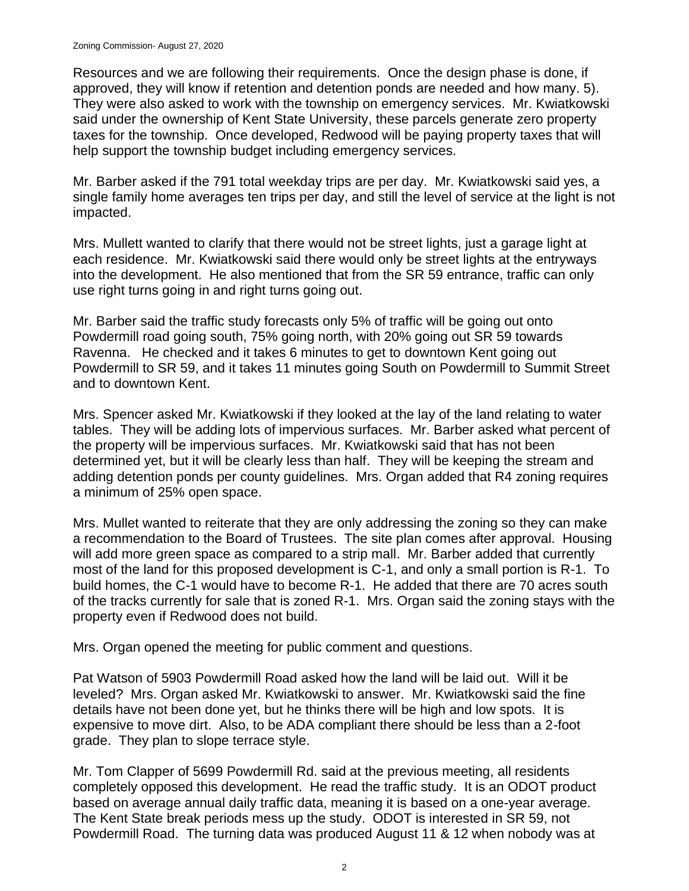Resources and we are following their requirements. Once the design phase is done, if approved, they will know if retention and detention ponds are needed and how many. 5). They were also asked to work with the township on emergency services. Mr. Kwiatkowski said under the ownership of Kent State University, these parcels generate zero property taxes for the township. Once developed, Redwood will be paying property taxes that will help support the township budget including emergency services.

Mr. Barber asked if the 791 total weekday trips are per day. Mr. Kwiatkowski said yes, a single family home averages ten trips per day, and still the level of service at the light is not impacted.

Mrs. Mullett wanted to clarify that there would not be street lights, just a garage light at each residence. Mr. Kwiatkowski said there would only be street lights at the entryways into the development. He also mentioned that from the SR 59 entrance, traffic can only use right turns going in and right turns going out.

Mr. Barber said the traffic study forecasts only 5% of traffic will be going out onto Powdermill road going south, 75% going north, with 20% going out SR 59 towards Ravenna. He checked and it takes 6 minutes to get to downtown Kent going out Powdermill to SR 59, and it takes 11 minutes going South on Powdermill to Summit Street and to downtown Kent.

Mrs. Spencer asked Mr. Kwiatkowski if they looked at the lay of the land relating to water tables. They will be adding lots of impervious surfaces. Mr. Barber asked what percent of the property will be impervious surfaces. Mr. Kwiatkowski said that has not been determined yet, but it will be clearly less than half. They will be keeping the stream and adding detention ponds per county guidelines. Mrs. Organ added that R4 zoning requires a minimum of 25% open space.

Mrs. Mullet wanted to reiterate that they are only addressing the zoning so they can make a recommendation to the Board of Trustees. The site plan comes after approval. Housing will add more green space as compared to a strip mall. Mr. Barber added that currently most of the land for this proposed development is C-1, and only a small portion is R-1. To build homes, the C-1 would have to become R-1. He added that there are 70 acres south of the tracks currently for sale that is zoned R-1. Mrs. Organ said the zoning stays with the property even if Redwood does not build.

Mrs. Organ opened the meeting for public comment and questions.

Pat Watson of 5903 Powdermill Road asked how the land will be laid out. Will it be leveled? Mrs. Organ asked Mr. Kwiatkowski to answer. Mr. Kwiatkowski said the fine details have not been done yet, but he thinks there will be high and low spots. It is expensive to move dirt. Also, to be ADA compliant there should be less than a 2-foot grade. They plan to slope terrace style.

Mr. Tom Clapper of 5699 Powdermill Rd. said at the previous meeting, all residents completely opposed this development. He read the traffic study. It is an ODOT product based on average annual daily traffic data, meaning it is based on a one-year average. The Kent State break periods mess up the study. ODOT is interested in SR 59, not Powdermill Road. The turning data was produced August 11 & 12 when nobody was at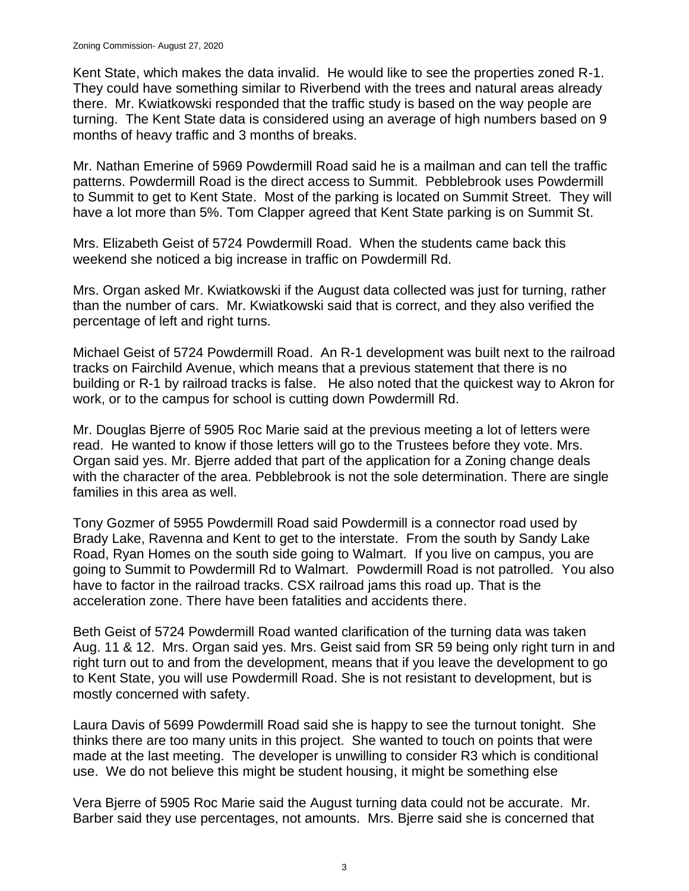Kent State, which makes the data invalid. He would like to see the properties zoned R-1. They could have something similar to Riverbend with the trees and natural areas already there. Mr. Kwiatkowski responded that the traffic study is based on the way people are turning. The Kent State data is considered using an average of high numbers based on 9 months of heavy traffic and 3 months of breaks.

Mr. Nathan Emerine of 5969 Powdermill Road said he is a mailman and can tell the traffic patterns. Powdermill Road is the direct access to Summit. Pebblebrook uses Powdermill to Summit to get to Kent State. Most of the parking is located on Summit Street. They will have a lot more than 5%. Tom Clapper agreed that Kent State parking is on Summit St.

Mrs. Elizabeth Geist of 5724 Powdermill Road. When the students came back this weekend she noticed a big increase in traffic on Powdermill Rd.

Mrs. Organ asked Mr. Kwiatkowski if the August data collected was just for turning, rather than the number of cars. Mr. Kwiatkowski said that is correct, and they also verified the percentage of left and right turns.

Michael Geist of 5724 Powdermill Road. An R-1 development was built next to the railroad tracks on Fairchild Avenue, which means that a previous statement that there is no building or R-1 by railroad tracks is false. He also noted that the quickest way to Akron for work, or to the campus for school is cutting down Powdermill Rd.

Mr. Douglas Bjerre of 5905 Roc Marie said at the previous meeting a lot of letters were read. He wanted to know if those letters will go to the Trustees before they vote. Mrs. Organ said yes. Mr. Bjerre added that part of the application for a Zoning change deals with the character of the area. Pebblebrook is not the sole determination. There are single families in this area as well.

Tony Gozmer of 5955 Powdermill Road said Powdermill is a connector road used by Brady Lake, Ravenna and Kent to get to the interstate. From the south by Sandy Lake Road, Ryan Homes on the south side going to Walmart. If you live on campus, you are going to Summit to Powdermill Rd to Walmart. Powdermill Road is not patrolled. You also have to factor in the railroad tracks. CSX railroad jams this road up. That is the acceleration zone. There have been fatalities and accidents there.

Beth Geist of 5724 Powdermill Road wanted clarification of the turning data was taken Aug. 11 & 12. Mrs. Organ said yes. Mrs. Geist said from SR 59 being only right turn in and right turn out to and from the development, means that if you leave the development to go to Kent State, you will use Powdermill Road. She is not resistant to development, but is mostly concerned with safety.

Laura Davis of 5699 Powdermill Road said she is happy to see the turnout tonight. She thinks there are too many units in this project. She wanted to touch on points that were made at the last meeting. The developer is unwilling to consider R3 which is conditional use. We do not believe this might be student housing, it might be something else

Vera Bjerre of 5905 Roc Marie said the August turning data could not be accurate. Mr. Barber said they use percentages, not amounts. Mrs. Bjerre said she is concerned that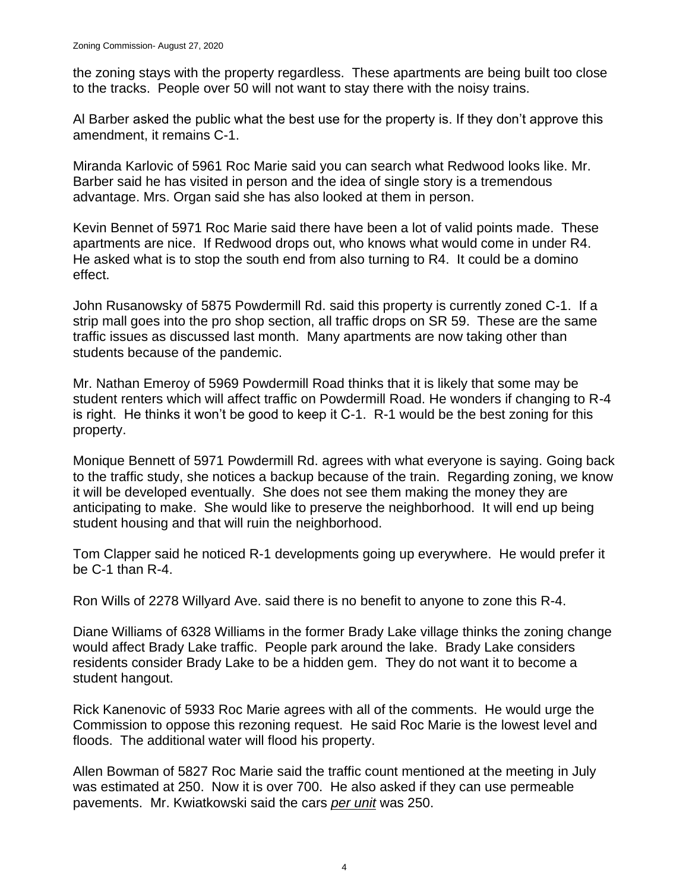the zoning stays with the property regardless. These apartments are being built too close to the tracks. People over 50 will not want to stay there with the noisy trains.

Al Barber asked the public what the best use for the property is. If they don't approve this amendment, it remains C-1.

Miranda Karlovic of 5961 Roc Marie said you can search what Redwood looks like. Mr. Barber said he has visited in person and the idea of single story is a tremendous advantage. Mrs. Organ said she has also looked at them in person.

Kevin Bennet of 5971 Roc Marie said there have been a lot of valid points made. These apartments are nice. If Redwood drops out, who knows what would come in under R4. He asked what is to stop the south end from also turning to R4. It could be a domino effect.

John Rusanowsky of 5875 Powdermill Rd. said this property is currently zoned C-1. If a strip mall goes into the pro shop section, all traffic drops on SR 59. These are the same traffic issues as discussed last month. Many apartments are now taking other than students because of the pandemic.

Mr. Nathan Emeroy of 5969 Powdermill Road thinks that it is likely that some may be student renters which will affect traffic on Powdermill Road. He wonders if changing to R-4 is right. He thinks it won't be good to keep it C-1. R-1 would be the best zoning for this property.

Monique Bennett of 5971 Powdermill Rd. agrees with what everyone is saying. Going back to the traffic study, she notices a backup because of the train. Regarding zoning, we know it will be developed eventually. She does not see them making the money they are anticipating to make. She would like to preserve the neighborhood. It will end up being student housing and that will ruin the neighborhood.

Tom Clapper said he noticed R-1 developments going up everywhere. He would prefer it be C-1 than R-4.

Ron Wills of 2278 Willyard Ave. said there is no benefit to anyone to zone this R-4.

Diane Williams of 6328 Williams in the former Brady Lake village thinks the zoning change would affect Brady Lake traffic. People park around the lake. Brady Lake considers residents consider Brady Lake to be a hidden gem. They do not want it to become a student hangout.

Rick Kanenovic of 5933 Roc Marie agrees with all of the comments. He would urge the Commission to oppose this rezoning request. He said Roc Marie is the lowest level and floods. The additional water will flood his property.

Allen Bowman of 5827 Roc Marie said the traffic count mentioned at the meeting in July was estimated at 250. Now it is over 700. He also asked if they can use permeable pavements. Mr. Kwiatkowski said the cars *per unit* was 250.